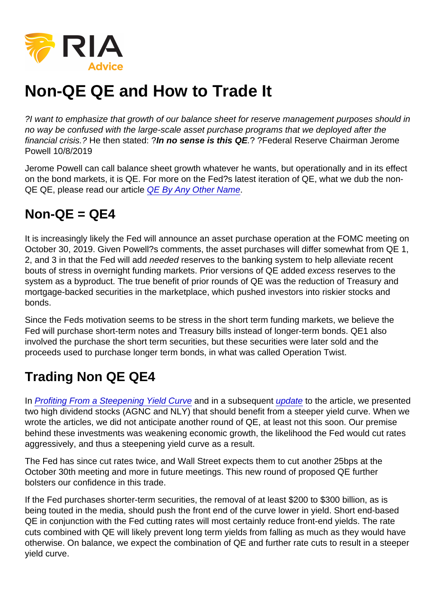## Non-QE QE and How to Trade It

?I want to emphasize that growth of our balance sheet for reserve management purposes should in no way be confused with the large-scale asset purchase programs that we deployed after the financial crisis.? He then stated: ?In no sense is this QE .? ?Federal Reserve Chairman Jerome Powell 10/8/2019

Jerome Powell can call balance sheet growth whatever he wants, but operationally and in its effect on the bond markets, it is QE. For more on the Fed?s latest iteration of QE, what we dub the non-QE QE, please read our article [QE By Any Other Name](https://realinvestmentadvice.com/qe-by-any-other-name/).

## $Non-OE =  $OE4$$

It is increasingly likely the Fed will announce an asset purchase operation at the FOMC meeting on October 30, 2019. Given Powell?s comments, the asset purchases will differ somewhat from QE 1, 2, and 3 in that the Fed will add needed reserves to the banking system to help alleviate recent bouts of stress in overnight funding markets. Prior versions of QE added excess reserves to the system as a byproduct. The true benefit of prior rounds of QE was the reduction of Treasury and mortgage-backed securities in the marketplace, which pushed investors into riskier stocks and bonds.

Since the Feds motivation seems to be stress in the short term funding markets, we believe the Fed will purchase short-term notes and Treasury bills instead of longer-term bonds. QE1 also involved the purchase the short term securities, but these securities were later sold and the proceeds used to purchase longer term bonds, in what was called Operation Twist.

## Trading Non QE QE4

In [Profiting From a Steepening Yield Curve](https://realinvestmentadvice.com/profiting-from-a-steepening-yield-curve/) and in a subsequent [update](https://realinvestmentadvice.com/update-profiting-from-a-steepening-yield-curve/) to the article, we presented two high dividend stocks (AGNC and NLY) that should benefit from a steeper yield curve. When we wrote the articles, we did not anticipate another round of QE, at least not this soon. Our premise behind these investments was weakening economic growth, the likelihood the Fed would cut rates aggressively, and thus a steepening yield curve as a result.

The Fed has since cut rates twice, and Wall Street expects them to cut another 25bps at the October 30th meeting and more in future meetings. This new round of proposed QE further bolsters our confidence in this trade.

If the Fed purchases shorter-term securities, the removal of at least \$200 to \$300 billion, as is being touted in the media, should push the front end of the curve lower in yield. Short end-based QE in conjunction with the Fed cutting rates will most certainly reduce front-end yields. The rate cuts combined with QE will likely prevent long term yields from falling as much as they would have otherwise. On balance, we expect the combination of QE and further rate cuts to result in a steeper yield curve.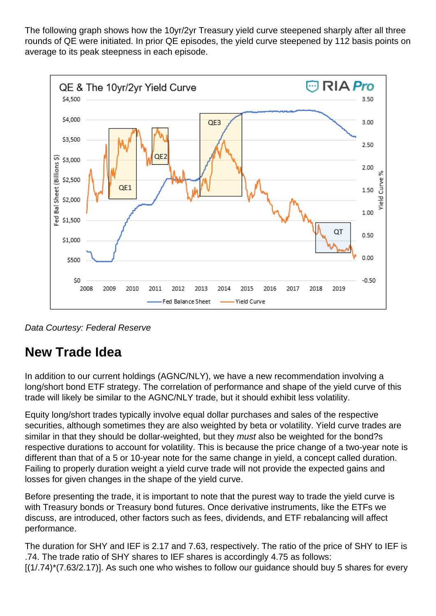The following graph shows how the 10yr/2yr Treasury yield curve steepened sharply after all three rounds of QE were initiated. In prior QE episodes, the yield curve steepened by 112 basis points on average to its peak steepness in each episode.



Data Courtesy: Federal Reserve

## **New Trade Idea**

In addition to our current holdings (AGNC/NLY), we have a new recommendation involving a long/short bond ETF strategy. The correlation of performance and shape of the yield curve of this trade will likely be similar to the AGNC/NLY trade, but it should exhibit less volatility.

Equity long/short trades typically involve equal dollar purchases and sales of the respective securities, although sometimes they are also weighted by beta or volatility. Yield curve trades are similar in that they should be dollar-weighted, but they *must* also be weighted for the bond?s respective durations to account for volatility. This is because the price change of a two-year note is different than that of a 5 or 10-year note for the same change in yield, a concept called duration. Failing to properly duration weight a yield curve trade will not provide the expected gains and losses for given changes in the shape of the yield curve.

Before presenting the trade, it is important to note that the purest way to trade the yield curve is with Treasury bonds or Treasury bond futures. Once derivative instruments, like the ETFs we discuss, are introduced, other factors such as fees, dividends, and ETF rebalancing will affect performance.

The duration for SHY and IEF is 2.17 and 7.63, respectively. The ratio of the price of SHY to IEF is .74. The trade ratio of SHY shares to IEF shares is accordingly 4.75 as follows:  $[(1/74)^*(7.63/2.17)]$ . As such one who wishes to follow our guidance should buy 5 shares for every